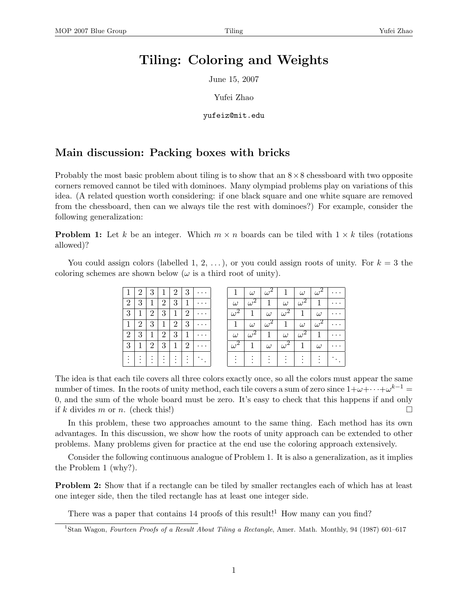## Tiling: Coloring and Weights

June 15, 2007

Yufei Zhao

yufeiz@mit.edu

## Main discussion: Packing boxes with bricks

Probably the most basic problem about tiling is to show that an  $8 \times 8$  chessboard with two opposite corners removed cannot be tiled with dominoes. Many olympiad problems play on variations of this idea. (A related question worth considering: if one black square and one white square are removed from the chessboard, then can we always tile the rest with dominoes?) For example, consider the following generalization:

**Problem 1:** Let k be an integer. Which  $m \times n$  boards can be tiled with  $1 \times k$  tiles (rotations allowed)?

You could assign colors (labelled 1, 2, ...), or you could assign roots of unity. For  $k = 3$  the coloring schemes are shown below ( $\omega$  is a third root of unity).

|                                     | $2^{\circ}$    | $3^{\circ}$               | $\mathbf{1}$    | $\left 2\right $ | 3 <sup>1</sup>          | .                                                |                      | $\omega$                                    | $+\omega^2 +$                                      | $\mathbf{1}$      | $\omega$                                              | $\omega^2$            |          |
|-------------------------------------|----------------|---------------------------|-----------------|------------------|-------------------------|--------------------------------------------------|----------------------|---------------------------------------------|----------------------------------------------------|-------------------|-------------------------------------------------------|-----------------------|----------|
| $\overline{2}$                      | 3 <sup>°</sup> |                           | $1 \mid 2 \mid$ | 3                |                         | $+1$   $\cdots$                                  | $\omega$             | $\overline{\omega^2}$                       | $\mathbf{1}$                                       | $\omega$          | $\omega^2$                                            | $\mathbf{1}$          |          |
| 3                                   | $\mathbf{1}$   | $\vert 2 \vert$           |                 |                  | 3 1 2                   | .                                                | $\sqrt{\omega^2}$    | $\mathbb{C}1$                               | $\omega$                                           | $\sqrt{\omega^2}$ | $1\vert$                                              | $\omega$              |          |
| 1                                   | 2 <sup>1</sup> |                           |                 |                  | 3   1   2   3           | $\cdots$                                         | $\mathbf{1}$         | $\omega$                                    | $\omega^2$                                         | $\mathbf{1}$      | $\omega$                                              | $\overline{\omega^2}$ |          |
| 2 <sup>1</sup>                      |                |                           |                 |                  |                         | $3   1   2   3   1   \cdots$                     | $\omega$             | $\omega^2$                                  |                                                    | $1 \mid \omega$   | $\omega^2$                                            | $-1$                  |          |
| 3 <sup>1</sup>                      |                | $1 \mid 2 \mid$           | 3 <sup>1</sup>  |                  | $\vert 1 \vert 2 \vert$ | $\cdots$                                         | $\sqrt{\omega^2}$    | $1\vert$                                    | $\omega$                                           | $\omega^2$        | $\vert$ 1                                             | $\omega$              | $\cdots$ |
| $\bullet$<br>$\bullet$<br>$\bullet$ | $\bullet$      | $\cdot$ $\cdot$<br>.<br>. | $\mathbf{r}$    | $\sim$           |                         | $\mathbb{E}\left[\frac{1}{2},\frac{1}{2}\right]$ | $\sim$ $\sim$ $\sim$ | $\bullet$<br>$\sim$ $\sim$ $\sim$<br>$\sim$ | $\bullet$<br><b>Contract Contract</b><br>$\bullet$ | og To<br>$\cdot$  | $\mathcal{F} = \mathcal{F}$<br>$\bullet$<br>$\bullet$ |                       |          |

The idea is that each tile covers all three colors exactly once, so all the colors must appear the same number of times. In the roots of unity method, each tile covers a sum of zero since  $1+\omega+\cdots+\omega^{k-1}=$ 0, and the sum of the whole board must be zero. It's easy to check that this happens if and only if k divides m or n. (check this!)

In this problem, these two approaches amount to the same thing. Each method has its own advantages. In this discussion, we show how the roots of unity approach can be extended to other problems. Many problems given for practice at the end use the coloring approach extensively.

Consider the following continuous analogue of Problem 1. It is also a generalization, as it implies the Problem 1 (why?).

**Problem 2:** Show that if a rectangle can be tiled by smaller rectangles each of which has at least one integer side, then the tiled rectangle has at least one integer side.

There was a paper that contains 14 proofs of this result!<sup>1</sup> How many can you find?

<sup>&</sup>lt;sup>1</sup>Stan Wagon, Fourteen Proofs of a Result About Tiling a Rectangle, Amer. Math. Monthly, 94 (1987) 601–617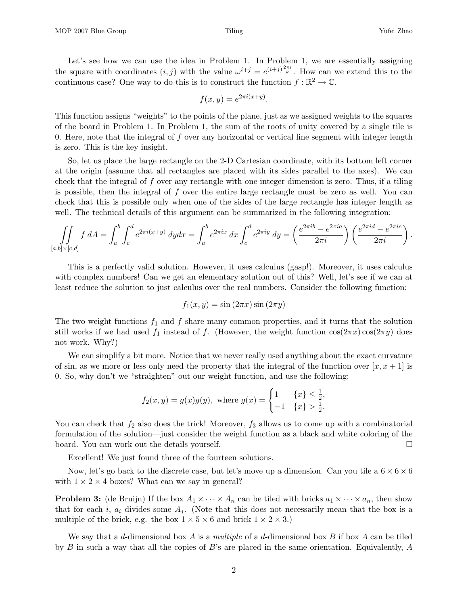Let's see how we can use the idea in Problem 1. In Problem 1, we are essentially assigning the square with coordinates  $(i, j)$  with the value  $\omega^{i+j} = e^{(i+j)\frac{2\pi i}{k}}$ . How can we extend this to the continuous case? One way to do this is to construct the function  $f : \mathbb{R}^2 \to \mathbb{C}$ .

$$
f(x,y) = e^{2\pi i(x+y)}.
$$

This function assigns "weights" to the points of the plane, just as we assigned weights to the squares of the board in Problem 1. In Problem 1, the sum of the roots of unity covered by a single tile is 0. Here, note that the integral of  $f$  over any horizontal or vertical line segment with integer length is zero. This is the key insight.

So, let us place the large rectangle on the 2-D Cartesian coordinate, with its bottom left corner at the origin (assume that all rectangles are placed with its sides parallel to the axes). We can check that the integral of f over any rectangle with one integer dimension is zero. Thus, if a tiling is possible, then the integral of  $f$  over the entire large rectangle must be zero as well. You can check that this is possible only when one of the sides of the large rectangle has integer length as well. The technical details of this argument can be summarized in the following integration:

$$
\iint\limits_{[a,b]\times[c,d]} f\,dA = \int_a^b \int_c^d e^{2\pi i (x+y)}\,dydx = \int_a^b e^{2\pi ix}\,dx \int_c^d e^{2\pi iy}\,dy = \left(\frac{e^{2\pi i b} - e^{2\pi i a}}{2\pi i}\right) \left(\frac{e^{2\pi i d} - e^{2\pi i c}}{2\pi i}\right).
$$

This is a perfectly valid solution. However, it uses calculus (gasp!). Moreover, it uses calculus with complex numbers! Can we get an elementary solution out of this? Well, let's see if we can at least reduce the solution to just calculus over the real numbers. Consider the following function:

$$
f_1(x, y) = \sin(2\pi x)\sin(2\pi y)
$$

The two weight functions  $f_1$  and  $f$  share many common properties, and it turns that the solution still works if we had used  $f_1$  instead of f. (However, the weight function  $cos(2\pi x) cos(2\pi y)$  does not work. Why?)

We can simplify a bit more. Notice that we never really used anything about the exact curvature of sin, as we more or less only need the property that the integral of the function over  $[x, x + 1]$  is 0. So, why don't we "straighten" out our weight function, and use the following:

$$
f_2(x, y) = g(x)g(y)
$$
, where  $g(x) = \begin{cases} 1 & \{x\} \leq \frac{1}{2}, \\ -1 & \{x\} > \frac{1}{2}. \end{cases}$ 

You can check that  $f_2$  also does the trick! Moreover,  $f_3$  allows us to come up with a combinatorial formulation of the solution—just consider the weight function as a black and white coloring of the board. You can work out the details yourself.

Excellent! We just found three of the fourteen solutions.

Now, let's go back to the discrete case, but let's move up a dimension. Can you tile a  $6 \times 6 \times 6$ with  $1 \times 2 \times 4$  boxes? What can we say in general?

**Problem 3:** (de Bruijn) If the box  $A_1 \times \cdots \times A_n$  can be tiled with bricks  $a_1 \times \cdots \times a_n$ , then show that for each i,  $a_i$  divides some  $A_i$ . (Note that this does not necessarily mean that the box is a multiple of the brick, e.g. the box  $1 \times 5 \times 6$  and brick  $1 \times 2 \times 3$ .)

We say that a d-dimensional box  $A$  is a multiple of a d-dimensional box  $B$  if box  $A$  can be tiled by B in such a way that all the copies of B's are placed in the same orientation. Equivalently, A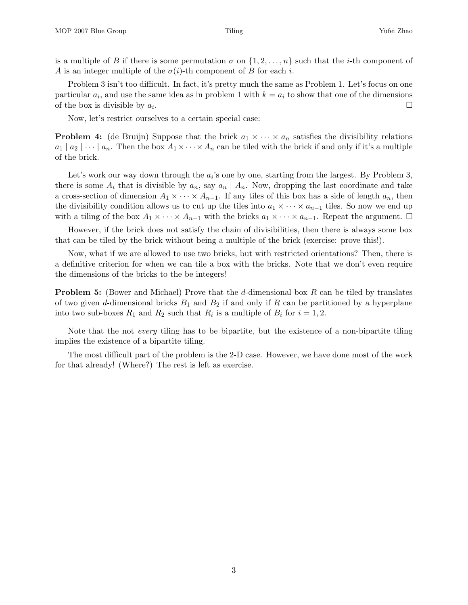is a multiple of B if there is some permutation  $\sigma$  on  $\{1, 2, \ldots, n\}$  such that the *i*-th component of A is an integer multiple of the  $\sigma(i)$ -th component of B for each i.

Problem 3 isn't too difficult. In fact, it's pretty much the same as Problem 1. Let's focus on one particular  $a_i$ , and use the same idea as in problem 1 with  $k = a_i$  to show that one of the dimensions of the box is divisible by  $a_i$ . . В последните поставите на селото на селото на селото на селото на селото на селото на селото на селото на се<br>Селото на селото на селото на селото на селото на селото на селото на селото на селото на селото на селото на

Now, let's restrict ourselves to a certain special case:

**Problem 4:** (de Bruijn) Suppose that the brick  $a_1 \times \cdots \times a_n$  satisfies the divisibility relations  $a_1 | a_2 | \cdots | a_n$ . Then the box  $A_1 \times \cdots \times A_n$  can be tiled with the brick if and only if it's a multiple of the brick.

Let's work our way down through the  $a_i$ 's one by one, starting from the largest. By Problem 3, there is some  $A_i$  that is divisible by  $a_n$ , say  $a_n \mid A_n$ . Now, dropping the last coordinate and take a cross-section of dimension  $A_1 \times \cdots \times A_{n-1}$ . If any tiles of this box has a side of length  $a_n$ , then the divisibility condition allows us to cut up the tiles into  $a_1 \times \cdots \times a_{n-1}$  tiles. So now we end up with a tiling of the box  $A_1 \times \cdots \times A_{n-1}$  with the bricks  $a_1 \times \cdots \times a_{n-1}$ . Repeat the argument.  $\Box$ 

However, if the brick does not satisfy the chain of divisibilities, then there is always some box that can be tiled by the brick without being a multiple of the brick (exercise: prove this!).

Now, what if we are allowed to use two bricks, but with restricted orientations? Then, there is a definitive criterion for when we can tile a box with the bricks. Note that we don't even require the dimensions of the bricks to the be integers!

**Problem 5:** (Bower and Michael) Prove that the d-dimensional box R can be tiled by translates of two given d-dimensional bricks  $B_1$  and  $B_2$  if and only if R can be partitioned by a hyperplane into two sub-boxes  $R_1$  and  $R_2$  such that  $R_i$  is a multiple of  $B_i$  for  $i = 1, 2$ .

Note that the not every tiling has to be bipartite, but the existence of a non-bipartite tiling implies the existence of a bipartite tiling.

The most difficult part of the problem is the 2-D case. However, we have done most of the work for that already! (Where?) The rest is left as exercise.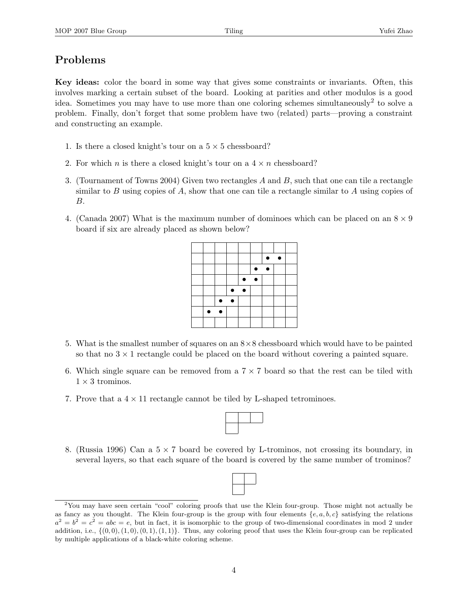## Problems

Key ideas: color the board in some way that gives some constraints or invariants. Often, this involves marking a certain subset of the board. Looking at parities and other modulos is a good idea. Sometimes you may have to use more than one coloring schemes simultaneously<sup>2</sup> to solve a problem. Finally, don't forget that some problem have two (related) parts—proving a constraint and constructing an example.

- 1. Is there a closed knight's tour on a  $5 \times 5$  chessboard?
- 2. For which *n* is there a closed knight's tour on a  $4 \times n$  chessboard?
- 3. (Tournament of Towns 2004) Given two rectangles A and B, such that one can tile a rectangle similar to B using copies of A, show that one can tile a rectangle similar to A using copies of B.
- 4. (Canada 2007) What is the maximum number of dominoes which can be placed on an  $8 \times 9$ board if six are already placed as shown below?

|  |  |           |           | $\bullet$ | $\bullet$ |  |
|--|--|-----------|-----------|-----------|-----------|--|
|  |  |           |           | $\bullet$ |           |  |
|  |  | $\bullet$ | $\bullet$ |           |           |  |
|  |  |           |           |           |           |  |
|  |  |           |           |           |           |  |
|  |  |           |           |           |           |  |
|  |  |           |           |           |           |  |
|  |  |           |           |           |           |  |

- 5. What is the smallest number of squares on an 8×8 chessboard which would have to be painted so that no  $3 \times 1$  rectangle could be placed on the board without covering a painted square.
- 6. Which single square can be removed from a  $7 \times 7$  board so that the rest can be tiled with  $1 \times 3$  trominos.
- 7. Prove that a  $4 \times 11$  rectangle cannot be tiled by L-shaped tetrominoes.



8. (Russia 1996) Can a  $5 \times 7$  board be covered by L-trominos, not crossing its boundary, in several layers, so that each square of the board is covered by the same number of trominos?



<sup>&</sup>lt;sup>2</sup>You may have seen certain "cool" coloring proofs that use the Klein four-group. Those might not actually be as fancy as you thought. The Klein four-group is the group with four elements  $\{e, a, b, c\}$  satisfying the relations  $a^2 = b^2 = c^2 = abc = e$ , but in fact, it is isomorphic to the group of two-dimensional coordinates in mod 2 under addition, i.e.,  $\{(0,0), (1,0), (0,1), (1,1)\}$ . Thus, any coloring proof that uses the Klein four-group can be replicated by multiple applications of a black-white coloring scheme.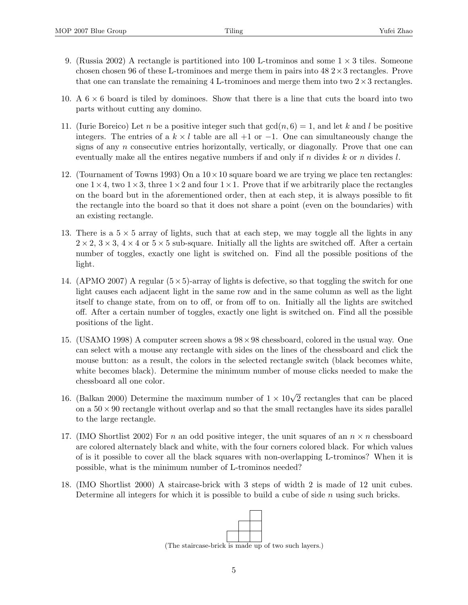- 9. (Russia 2002) A rectangle is partitioned into 100 L-trominos and some  $1 \times 3$  tiles. Someone chosen chosen 96 of these L-trominoes and merge them in pairs into  $48\ 2\times3$  rectangles. Prove that one can translate the remaining 4 L-trominoes and merge them into two  $2 \times 3$  rectangles.
- 10. A  $6 \times 6$  board is tiled by dominoes. Show that there is a line that cuts the board into two parts without cutting any domino.
- 11. (Iurie Boreico) Let n be a positive integer such that  $gcd(n, 6) = 1$ , and let k and l be positive integers. The entries of a  $k \times l$  table are all +1 or -1. One can simultaneously change the signs of any  $n$  consecutive entries horizontally, vertically, or diagonally. Prove that one can eventually make all the entires negative numbers if and only if n divides k or n divides  $l$ .
- 12. (Tournament of Towns 1993) On a  $10 \times 10$  square board we are trying we place ten rectangles: one  $1 \times 4$ , two  $1 \times 3$ , three  $1 \times 2$  and four  $1 \times 1$ . Prove that if we arbitrarily place the rectangles on the board but in the aforementioned order, then at each step, it is always possible to fit the rectangle into the board so that it does not share a point (even on the boundaries) with an existing rectangle.
- 13. There is a  $5 \times 5$  array of lights, such that at each step, we may toggle all the lights in any  $2 \times 2$ ,  $3 \times 3$ ,  $4 \times 4$  or  $5 \times 5$  sub-square. Initially all the lights are switched off. After a certain number of toggles, exactly one light is switched on. Find all the possible positions of the light.
- 14. (APMO 2007) A regular  $(5\times5)$ -array of lights is defective, so that toggling the switch for one light causes each adjacent light in the same row and in the same column as well as the light itself to change state, from on to off, or from off to on. Initially all the lights are switched off. After a certain number of toggles, exactly one light is switched on. Find all the possible positions of the light.
- 15. (USAMO 1998) A computer screen shows a 98×98 chessboard, colored in the usual way. One can select with a mouse any rectangle with sides on the lines of the chessboard and click the mouse button: as a result, the colors in the selected rectangle switch (black becomes white, white becomes black). Determine the minimum number of mouse clicks needed to make the chessboard all one color.
- 16. (Balkan 2000) Determine the maximum number of  $1 \times 10\sqrt{2}$  rectangles that can be placed on a  $50 \times 90$  rectangle without overlap and so that the small rectangles have its sides parallel to the large rectangle.
- 17. (IMO Shortlist 2002) For n an odd positive integer, the unit squares of an  $n \times n$  chessboard are colored alternately black and white, with the four corners colored black. For which values of is it possible to cover all the black squares with non-overlapping L-trominos? When it is possible, what is the minimum number of L-trominos needed?
- 18. (IMO Shortlist 2000) A staircase-brick with 3 steps of width 2 is made of 12 unit cubes. Determine all integers for which it is possible to build a cube of side  $n$  using such bricks.